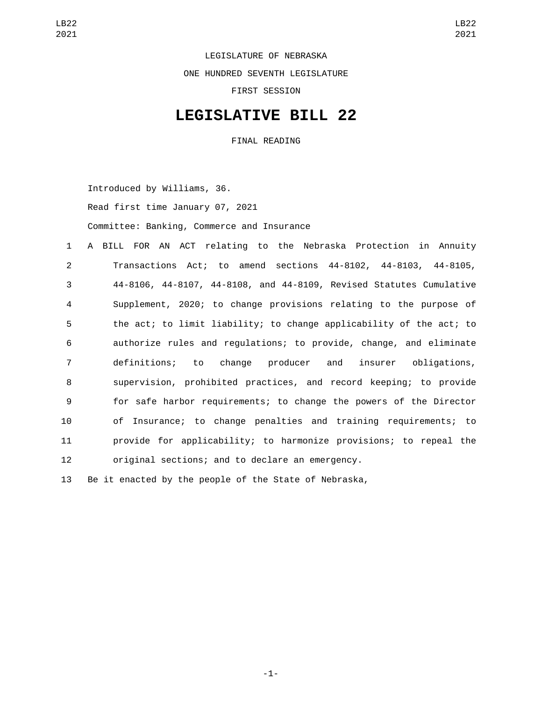LEGISLATURE OF NEBRASKA ONE HUNDRED SEVENTH LEGISLATURE FIRST SESSION

## **LEGISLATIVE BILL 22**

FINAL READING

Introduced by Williams, 36.

Read first time January 07, 2021

Committee: Banking, Commerce and Insurance

 A BILL FOR AN ACT relating to the Nebraska Protection in Annuity Transactions Act; to amend sections 44-8102, 44-8103, 44-8105, 44-8106, 44-8107, 44-8108, and 44-8109, Revised Statutes Cumulative Supplement, 2020; to change provisions relating to the purpose of the act; to limit liability; to change applicability of the act; to authorize rules and regulations; to provide, change, and eliminate definitions; to change producer and insurer obligations, supervision, prohibited practices, and record keeping; to provide for safe harbor requirements; to change the powers of the Director of Insurance; to change penalties and training requirements; to provide for applicability; to harmonize provisions; to repeal the original sections; and to declare an emergency.

13 Be it enacted by the people of the State of Nebraska,

-1-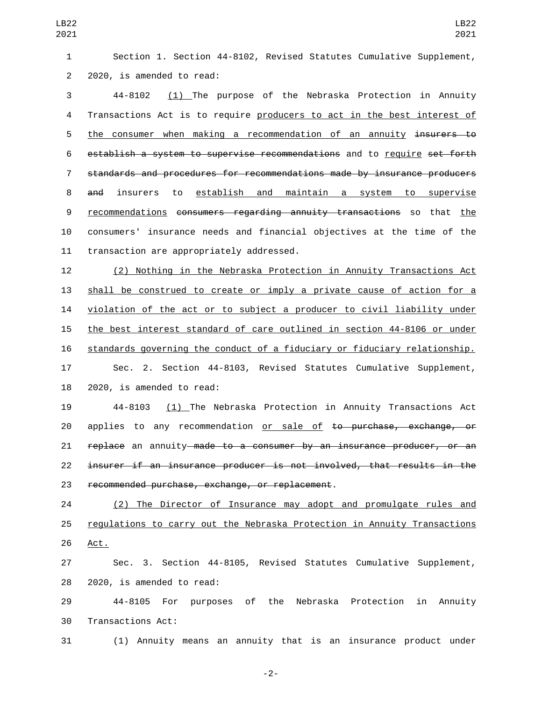Section 1. Section 44-8102, Revised Statutes Cumulative Supplement, 2 2020, is amended to read:

 44-8102 (1) The purpose of the Nebraska Protection in Annuity Transactions Act is to require producers to act in the best interest of 5 the consumer when making a recommendation of an annuity insurers to establish a system to supervise recommendations and to require set forth standards and procedures for recommendations made by insurance producers and insurers to establish and maintain a system to supervise recommendations consumers regarding annuity transactions so that the consumers' insurance needs and financial objectives at the time of the 11 transaction are appropriately addressed.

 (2) Nothing in the Nebraska Protection in Annuity Transactions Act shall be construed to create or imply a private cause of action for a violation of the act or to subject a producer to civil liability under the best interest standard of care outlined in section 44-8106 or under standards governing the conduct of a fiduciary or fiduciary relationship. Sec. 2. Section 44-8103, Revised Statutes Cumulative Supplement, 2020, is amended to read:

 44-8103 (1) The Nebraska Protection in Annuity Transactions Act 20 applies to any recommendation or sale of <del>to purchase, exchange, or</del> 21 replace an annuity made to a consumer by an insurance producer, or an insurer if an insurance producer is not involved, that results in the 23 recommended purchase, exchange, or replacement.

 (2) The Director of Insurance may adopt and promulgate rules and regulations to carry out the Nebraska Protection in Annuity Transactions 26 Act.

 Sec. 3. Section 44-8105, Revised Statutes Cumulative Supplement, 28 2020, is amended to read:

 44-8105 For purposes of the Nebraska Protection in Annuity 30 Transactions Act:

(1) Annuity means an annuity that is an insurance product under

-2-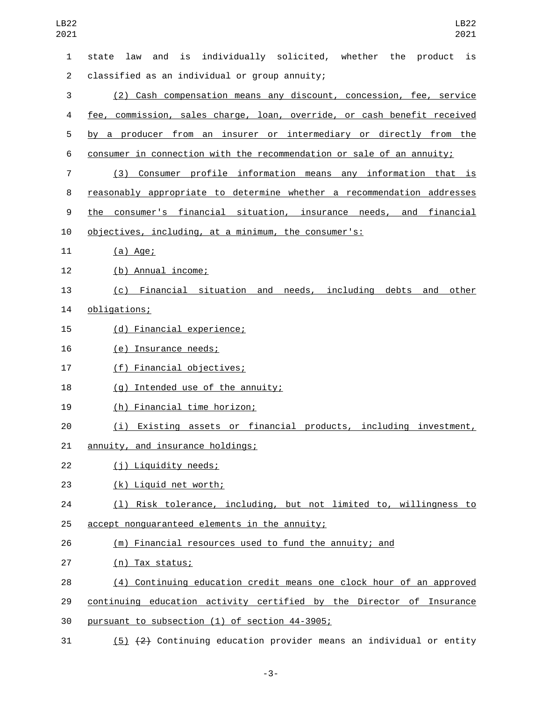| LB22<br>2021   | LB22<br>2021                                                                |
|----------------|-----------------------------------------------------------------------------|
| 1              | is individually solicited, whether the product<br>is<br>law<br>and<br>state |
| $\overline{2}$ | classified as an individual or group annuity;                               |
| 3              | (2) Cash compensation means any discount, concession, fee, service          |
| 4              | fee, commission, sales charge, loan, override, or cash benefit received     |
| 5              | by a producer from an insurer or intermediary or directly from the          |
| 6              | consumer in connection with the recommendation or sale of an annuity;       |
| $\overline{7}$ | (3) Consumer profile information means any information that is              |
| 8              | reasonably appropriate to determine whether a recommendation addresses      |
| 9              | the consumer's financial situation, insurance needs, and financial          |
| 10             | objectives, including, at a minimum, the consumer's:                        |
| 11             | $(a)$ Age;                                                                  |
| 12             | (b) Annual income;                                                          |
| 13             | (c) Financial situation and needs, including debts and other                |
| 14             | obligations;                                                                |
| 15             | (d) Financial experience;                                                   |
| 16             | (e) Insurance needs;                                                        |
| 17             | (f) Financial objectives;                                                   |
| 18             | (g) Intended use of the annuity;                                            |
| 19             | (h) Financial time horizon;                                                 |
| 20             | (i) Existing assets or financial products, including investment,            |
| 21             | annuity, and insurance holdings;                                            |
| 22             | (j) Liquidity needs;                                                        |
| 23             | (k) Liquid net worth;                                                       |
| 24             | (1) Risk tolerance, including, but not limited to, willingness to           |
| 25             | accept nonguaranteed elements in the annuity;                               |
| 26             | (m) Financial resources used to fund the annuity; and                       |
| 27             | (n) Tax status;                                                             |
| 28             | (4) Continuing education credit means one clock hour of an approved         |
| 29             | continuing education activity certified by the Director of Insurance        |
| 30             | pursuant to subsection (1) of section 44-3905;                              |
| 31             | (5) (2) Continuing education provider means an individual or entity         |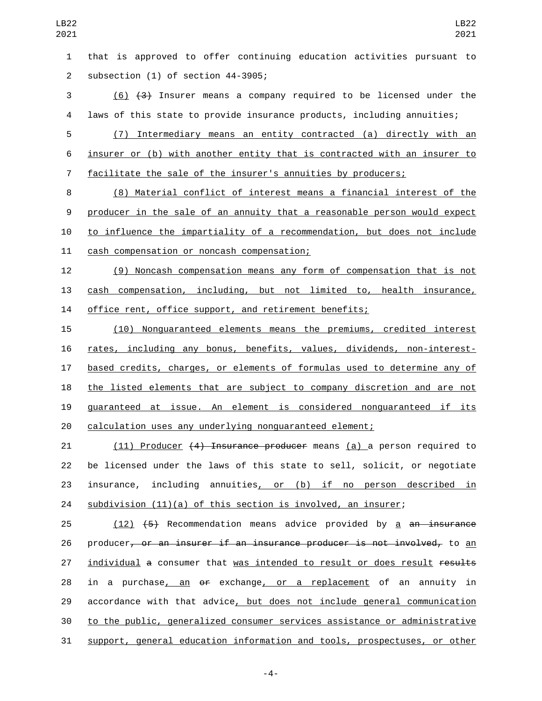that is approved to offer continuing education activities pursuant to 2 subsection (1) of section 44-3905;

 (6) (3) Insurer means a company required to be licensed under the laws of this state to provide insurance products, including annuities;

 (7) Intermediary means an entity contracted (a) directly with an insurer or (b) with another entity that is contracted with an insurer to facilitate the sale of the insurer's annuities by producers;

 (8) Material conflict of interest means a financial interest of the producer in the sale of an annuity that a reasonable person would expect to influence the impartiality of a recommendation, but does not include 11 cash compensation or noncash compensation;

 (9) Noncash compensation means any form of compensation that is not cash compensation, including, but not limited to, health insurance, office rent, office support, and retirement benefits;

 (10) Nonguaranteed elements means the premiums, credited interest rates, including any bonus, benefits, values, dividends, non-interest- based credits, charges, or elements of formulas used to determine any of the listed elements that are subject to company discretion and are not guaranteed at issue. An element is considered nonguaranteed if its calculation uses any underlying nonguaranteed element;

21 (11) Producer (4) Insurance producer means (a) a person required to be licensed under the laws of this state to sell, solicit, or negotiate insurance, including annuities, or (b) if no person described in subdivision (11)(a) of this section is involved, an insurer;

25  $(12)$   $(5)$  Recommendation means advice provided by a an insurance 26 producer<del>, or an insurer if an insurance producer is not involved,</del> to an 27 individual a consumer that was intended to result or does result results 28 in a purchase, an  $\theta$  exchange, or a replacement of an annuity in 29 accordance with that advice, but does not include general communication to the public, generalized consumer services assistance or administrative support, general education information and tools, prospectuses, or other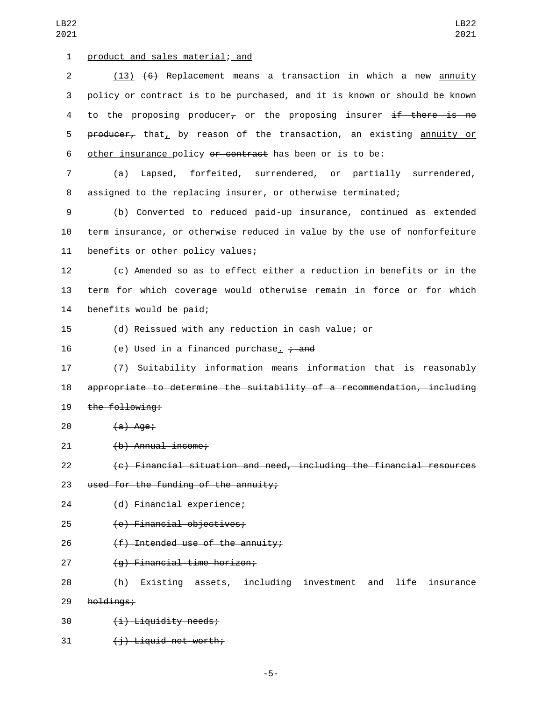1 product and sales material; and

2 (13) (6) Replacement means a transaction in which a new annuity 3 policy or contract is to be purchased, and it is known or should be known 4 to the proposing producer<sub> $\tau$ </sub> or the proposing insurer if there is no 5 producer, that, by reason of the transaction, an existing annuity or 6 other insurance policy or contract has been or is to be:

7 (a) Lapsed, forfeited, surrendered, or partially surrendered, 8 assigned to the replacing insurer, or otherwise terminated;

9 (b) Converted to reduced paid-up insurance, continued as extended 10 term insurance, or otherwise reduced in value by the use of nonforfeiture 11 benefits or other policy values;

12 (c) Amended so as to effect either a reduction in benefits or in the 13 term for which coverage would otherwise remain in force or for which 14 benefits would be paid;

15 (d) Reissued with any reduction in cash value; or

16 (e) Used in a financed purchase.  $\div$  and

17 (7) Suitability information means information that is reasonably 18 appropriate to determine the suitability of a recommendation, including 19 the following:

 $(20)$   $(a)$  Age;

(b) Annual income;21

22 (c) Financial situation and need, including the financial resources

23 used for the funding of the annuity;

24 (d) Financial experience;

(e) Financial objectives;25

26 (f) Intended use of the annuity;

27 (g) Financial time horizon;

28 (h) Existing assets, including investment and life insurance

29 holdings;

30 (i) Liquidity needs;

31 (i) Liquid net worth;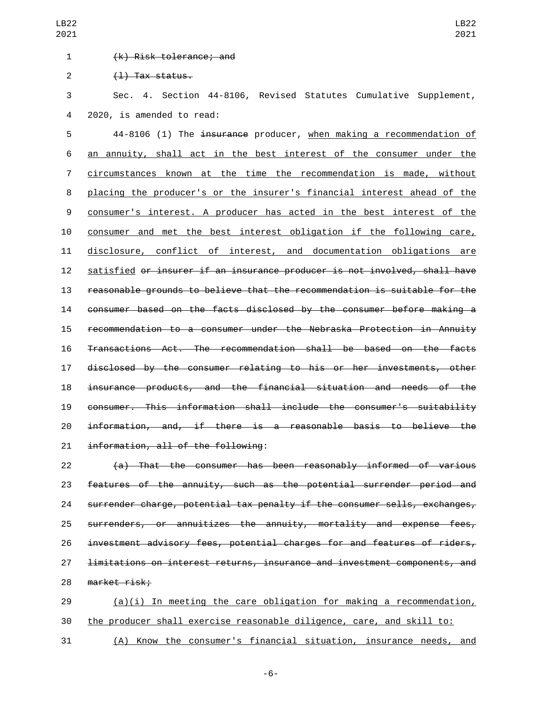## (k) Risk tolerance; and1

 $(1)$  Tax status.

 Sec. 4. Section 44-8106, Revised Statutes Cumulative Supplement, 4 2020, is amended to read:

LB22 

5 44-8106 (1) The insurance producer, when making a recommendation of an annuity, shall act in the best interest of the consumer under the circumstances known at the time the recommendation is made, without placing the producer's or the insurer's financial interest ahead of the consumer's interest. A producer has acted in the best interest of the consumer and met the best interest obligation if the following care, disclosure, conflict of interest, and documentation obligations are satisfied or insurer if an insurance producer is not involved, shall have reasonable grounds to believe that the recommendation is suitable for the consumer based on the facts disclosed by the consumer before making a recommendation to a consumer under the Nebraska Protection in Annuity Transactions Act. The recommendation shall be based on the facts disclosed by the consumer relating to his or her investments, other insurance products, and the financial situation and needs of the consumer. This information shall include the consumer's suitability information, and, if there is a reasonable basis to believe the 21 information, all of the following:

 (a) That the consumer has been reasonably informed of various features of the annuity, such as the potential surrender period and surrender charge, potential tax penalty if the consumer sells, exchanges, surrenders, or annuitizes the annuity, mortality and expense fees, investment advisory fees, potential charges for and features of riders, limitations on interest returns, insurance and investment components, and 28 market risk;

 (a)(i) In meeting the care obligation for making a recommendation, the producer shall exercise reasonable diligence, care, and skill to:

(A) Know the consumer's financial situation, insurance needs, and

-6-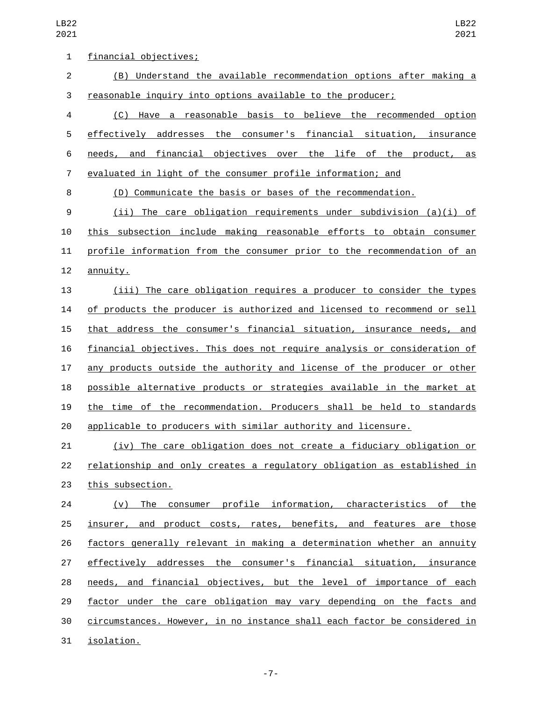| $\mathbf 1$    | financial objectives;                                                     |
|----------------|---------------------------------------------------------------------------|
| $\overline{2}$ | (B) Understand the available recommendation options after making a        |
| 3              | reasonable inquiry into options available to the producer;                |
| 4              | (C) Have a reasonable basis to believe the recommended option             |
| 5              | effectively addresses the consumer's financial situation, insurance       |
| 6              | needs, and financial objectives over the life of the product, as          |
| $\overline{7}$ | evaluated in light of the consumer profile information; and               |
| 8              | (D) Communicate the basis or bases of the recommendation.                 |
| 9              | (ii) The care obligation requirements under subdivision (a)(i) of         |
| 10             | this subsection include making reasonable efforts to obtain consumer      |
| 11             | profile information from the consumer prior to the recommendation of an   |
| 12             | annuity.                                                                  |
| 13             | (iii) The care obligation requires a producer to consider the types       |
| 14             | of products the producer is authorized and licensed to recommend or sell  |
| 15             | that address the consumer's financial situation, insurance needs, and     |
| 16             | financial objectives. This does not require analysis or consideration of  |
| 17             | any products outside the authority and license of the producer or other   |
| 18             | possible alternative products or strategies available in the market at    |
| 19             | the time of the recommendation. Producers shall be held to standards      |
| 20             | applicable to producers with similar authority and licensure.             |
| 21             | <u>(iv) The care obligation does not create a fiduciary obligation or</u> |
| 22             | relationship and only creates a regulatory obligation as established in   |
| 23             | this subsection.                                                          |
| 24             | (v) The consumer profile information, characteristics of the              |
| 25             | insurer, and product costs, rates, benefits, and features are those       |
| 26             | factors generally relevant in making a determination whether an annuity   |
| 27             | effectively addresses the consumer's financial situation, insurance       |
| 28             | needs, and financial objectives, but the level of importance of each      |
| 29             | factor under the care obligation may vary depending on the facts and      |
| 30             | circumstances. However, in no instance shall each factor be considered in |
| 31             | isolation.                                                                |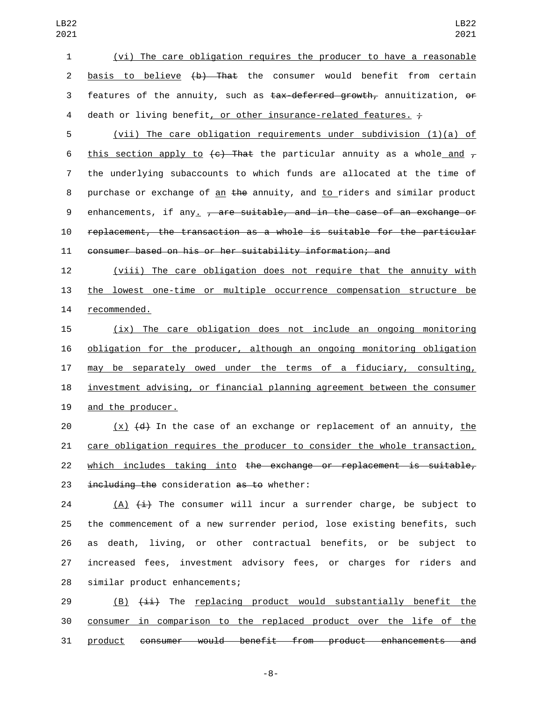1 (vi) The care obligation requires the producer to have a reasonable 2 <u>basis to believe</u> (b) That the consumer would benefit from certain 3 features of the annuity, such as tax-deferred growth, annuitization, or 4 death or living benefit, or other insurance-related features.  $\div$ 

5 (vii) The care obligation requirements under subdivision (1)(a) of 6 this section apply to  $\left\lbrace \epsilon \right\rbrace$  That the particular annuity as a whole and  $\tau$ 7 the underlying subaccounts to which funds are allocated at the time of 8 purchase or exchange of <u>an</u> the annuity, and to riders and similar product 9 enhancements, if any  $\frac{1}{r}$  are suitable, and in the case of an exchange or 10 replacement, the transaction as a whole is suitable for the particular 11 consumer based on his or her suitability information; and

12 (viii) The care obligation does not require that the annuity with 13 the lowest one-time or multiple occurrence compensation structure be 14 recommended.

15 (ix) The care obligation does not include an ongoing monitoring 16 obligation for the producer, although an ongoing monitoring obligation 17 may be separately owed under the terms of a fiduciary, consulting, 18 investment advising, or financial planning agreement between the consumer 19 and the producer.

 $(x)$   $(d)$  In the case of an exchange or replacement of an annuity, the care obligation requires the producer to consider the whole transaction, 22 which includes taking into the exchange or replacement is suitable,  $int$  including the consideration as to whether:

 $(A)$   $(\pm)$  The consumer will incur a surrender charge, be subject to the commencement of a new surrender period, lose existing benefits, such as death, living, or other contractual benefits, or be subject to increased fees, investment advisory fees, or charges for riders and 28 similar product enhancements;

29 (B)  $\overline{4i}$  The replacing product would substantially benefit the 30 consumer in comparison to the replaced product over the life of the 31 product consumer would benefit from product enhancements and

-8-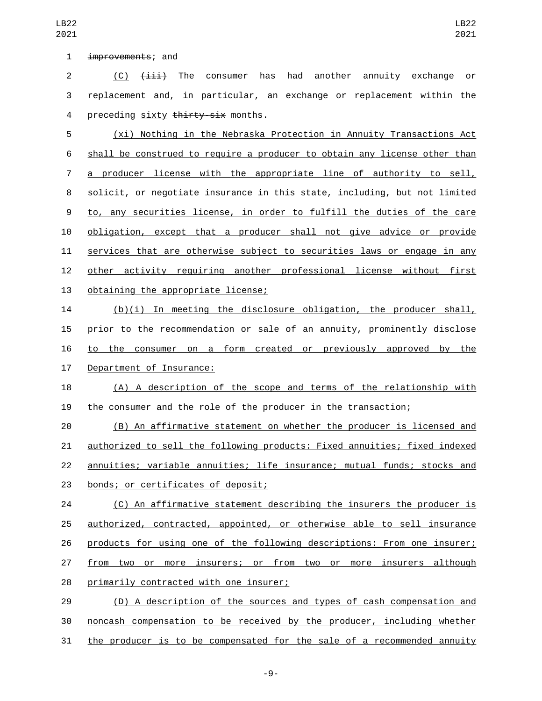1 improvements; and

2 (C)  $\overline{4\pm i}$  The consumer has had another annuity exchange or replacement and, in particular, an exchange or replacement within the 4 preceding sixty thirty-six months.

 (xi) Nothing in the Nebraska Protection in Annuity Transactions Act shall be construed to require a producer to obtain any license other than 7 a producer license with the appropriate line of authority to sell, solicit, or negotiate insurance in this state, including, but not limited to, any securities license, in order to fulfill the duties of the care obligation, except that a producer shall not give advice or provide services that are otherwise subject to securities laws or engage in any other activity requiring another professional license without first 13 obtaining the appropriate license;

 (b)(i) In meeting the disclosure obligation, the producer shall, prior to the recommendation or sale of an annuity, prominently disclose to the consumer on a form created or previously approved by the 17 Department of Insurance:

 (A) A description of the scope and terms of the relationship with the consumer and the role of the producer in the transaction;

 (B) An affirmative statement on whether the producer is licensed and authorized to sell the following products: Fixed annuities; fixed indexed annuities; variable annuities; life insurance; mutual funds; stocks and 23 bonds; or certificates of deposit;

 (C) An affirmative statement describing the insurers the producer is authorized, contracted, appointed, or otherwise able to sell insurance products for using one of the following descriptions: From one insurer; from two or more insurers; or from two or more insurers although 28 primarily contracted with one insurer;

 (D) A description of the sources and types of cash compensation and noncash compensation to be received by the producer, including whether the producer is to be compensated for the sale of a recommended annuity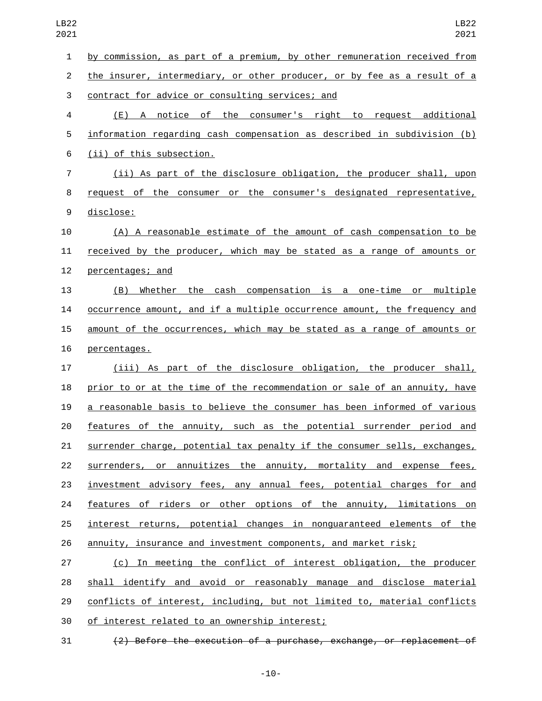by commission, as part of a premium, by other remuneration received from the insurer, intermediary, or other producer, or by fee as a result of a 3 contract for advice or consulting services; and (E) A notice of the consumer's right to request additional information regarding cash compensation as described in subdivision (b) 6 (ii) of this subsection. (ii) As part of the disclosure obligation, the producer shall, upon request of the consumer or the consumer's designated representative, 9 disclose: (A) A reasonable estimate of the amount of cash compensation to be received by the producer, which may be stated as a range of amounts or 12 percentages; and (B) Whether the cash compensation is a one-time or multiple occurrence amount, and if a multiple occurrence amount, the frequency and amount of the occurrences, which may be stated as a range of amounts or 16 percentages. (iii) As part of the disclosure obligation, the producer shall, prior to or at the time of the recommendation or sale of an annuity, have a reasonable basis to believe the consumer has been informed of various features of the annuity, such as the potential surrender period and surrender charge, potential tax penalty if the consumer sells, exchanges, 22 surrenders, or annuitizes the annuity, mortality and expense fees, investment advisory fees, any annual fees, potential charges for and 24 features of riders or other options of the annuity, limitations on interest returns, potential changes in nonguaranteed elements of the annuity, insurance and investment components, and market risk; (c) In meeting the conflict of interest obligation, the producer shall identify and avoid or reasonably manage and disclose material conflicts of interest, including, but not limited to, material conflicts

30 of interest related to an ownership interest;

(2) Before the execution of a purchase, exchange, or replacement of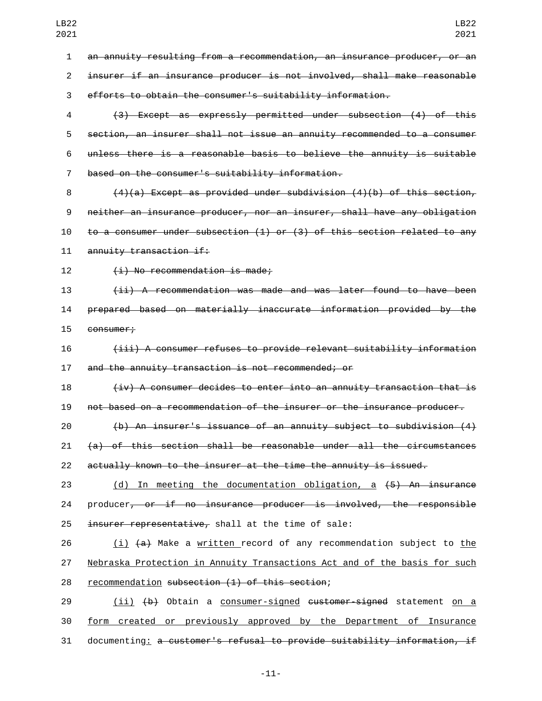an annuity resulting from a recommendation, an insurance producer, or an insurer if an insurance producer is not involved, shall make reasonable efforts to obtain the consumer's suitability information. (3) Except as expressly permitted under subsection (4) of this

 section, an insurer shall not issue an annuity recommended to a consumer unless there is a reasonable basis to believe the annuity is suitable based on the consumer's suitability information.7

 $(4)(a)$  Except as provided under subdivision  $(4)(b)$  of this section, neither an insurance producer, nor an insurer, shall have any obligation to a consumer under subsection (1) or (3) of this section related to any 11 annuity transaction if:

12 (i) No recommendation is made;

 (ii) A recommendation was made and was later found to have been prepared based on materially inaccurate information provided by the 15 consumer;

 (iii) A consumer refuses to provide relevant suitability information and the annuity transaction is not recommended; or

 (iv) A consumer decides to enter into an annuity transaction that is not based on a recommendation of the insurer or the insurance producer.

 (b) An insurer's issuance of an annuity subject to subdivision (4) (a) of this section shall be reasonable under all the circumstances actually known to the insurer at the time the annuity is issued.

 (d) In meeting the documentation obligation, a (5) An insurance producer, or if no insurance producer is involved, the responsible 25 insurer representative, shall at the time of sale:

26 (i) (a) Make a <u>written record of any recommendation subject to the</u> Nebraska Protection in Annuity Transactions Act and of the basis for such 28 recommendation subsection (1) of this section;

29 (ii) (b) Obtain a consumer-signed customer-signed statement on a form created or previously approved by the Department of Insurance documenting: a customer's refusal to provide suitability information, if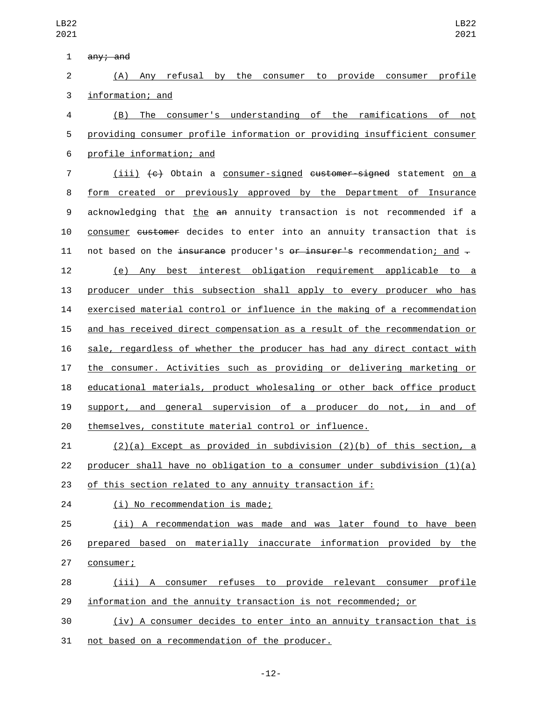| ◡∠∠<br>021 | LDZZ<br>2021                                                               |
|------------|----------------------------------------------------------------------------|
| 1          | any; and                                                                   |
| 2          | (A) Any refusal by the consumer to provide consumer profile                |
| 3          | information; and                                                           |
| 4          | (B) The consumer's understanding of the ramifications of not               |
| 5          | providing consumer profile information or providing insufficient consumer  |
| 6          | profile information; and                                                   |
| 7          | (iii) (c) Obtain a consumer-signed customer-signed statement on a          |
| 8          | form created or previously approved by the Department of Insurance         |
| 9          | acknowledging that the an annuity transaction is not recommended if a      |
| 10         | consumer customer decides to enter into an annuity transaction that is     |
| 11         | not based on the insurance producer's or insurer's recommendation; and -   |
| 12         | best interest obligation requirement applicable to a<br>(e)<br>Any         |
| 13         | producer under this subsection shall apply to every producer who has       |
| 14         | exercised material control or influence in the making of a recommendation  |
| 15         | and has received direct compensation as a result of the recommendation or  |
| 16         | sale, regardless of whether the producer has had any direct contact with   |
| 17         | the consumer. Activities such as providing or delivering marketing or      |
| 18         | educational materials, product wholesaling or other back office product    |
| 19         | general supervision of a producer do not, in and of<br>support, and        |
| 20         | themselves, constitute material control or influence.                      |
| 21         | $(2)(a)$ Except as provided in subdivision $(2)(b)$ of this section, a     |
| 22         | producer shall have no obligation to a consumer under subdivision $(1)(a)$ |
| 23         | of this section related to any annuity transaction if:                     |
| 24         | (i) No recommendation is made;                                             |
| 25         | (ii) A recommendation was made and was later found to have been            |
| 26         | prepared based on materially inaccurate information provided by the        |
| 27         | consumer;                                                                  |
| 28         | (iii) A consumer refuses to provide relevant consumer profile              |

information and the annuity transaction is not recommended; or

 (iv) A consumer decides to enter into an annuity transaction that is 31 not based on a recommendation of the producer.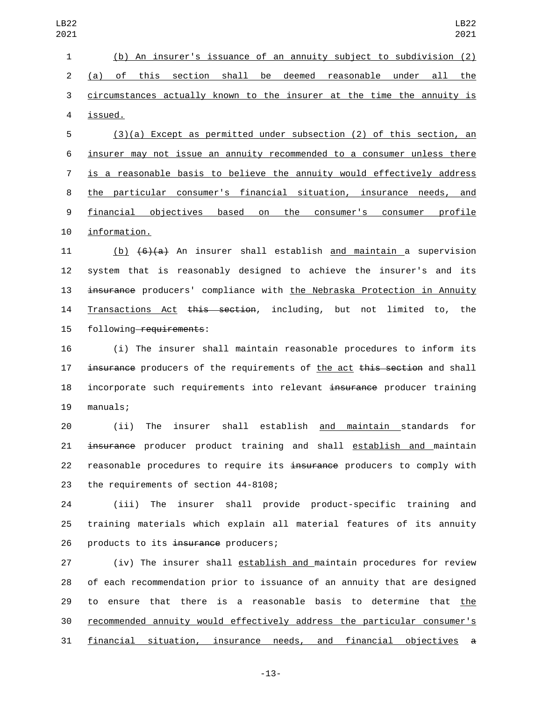(b) An insurer's issuance of an annuity subject to subdivision (2) (a) of this section shall be deemed reasonable under all the circumstances actually known to the insurer at the time the annuity is issued.4

 (3)(a) Except as permitted under subsection (2) of this section, an insurer may not issue an annuity recommended to a consumer unless there is a reasonable basis to believe the annuity would effectively address the particular consumer's financial situation, insurance needs, and financial objectives based on the consumer's consumer profile 10 information.

11 (b)  $\left(6\right)\left(4\right)$  An insurer shall establish and maintain a supervision 12 system that is reasonably designed to achieve the insurer's and its 13 insurance producers' compliance with the Nebraska Protection in Annuity 14 Transactions Act this section, including, but not limited to, the 15 following requirements:

16 (i) The insurer shall maintain reasonable procedures to inform its 17 insurance producers of the requirements of the act this section and shall 18 incorporate such requirements into relevant insurance producer training 19 manuals;

20 (ii) The insurer shall establish and maintain standards for 21 insurance producer product training and shall establish and maintain 22 reasonable procedures to require its insurance producers to comply with 23 the requirements of section 44-8108;

24 (iii) The insurer shall provide product-specific training and 25 training materials which explain all material features of its annuity 26 products to its insurance producers;

 (iv) The insurer shall establish and maintain procedures for review of each recommendation prior to issuance of an annuity that are designed to ensure that there is a reasonable basis to determine that the recommended annuity would effectively address the particular consumer's financial situation, insurance needs, and financial objectives a

-13-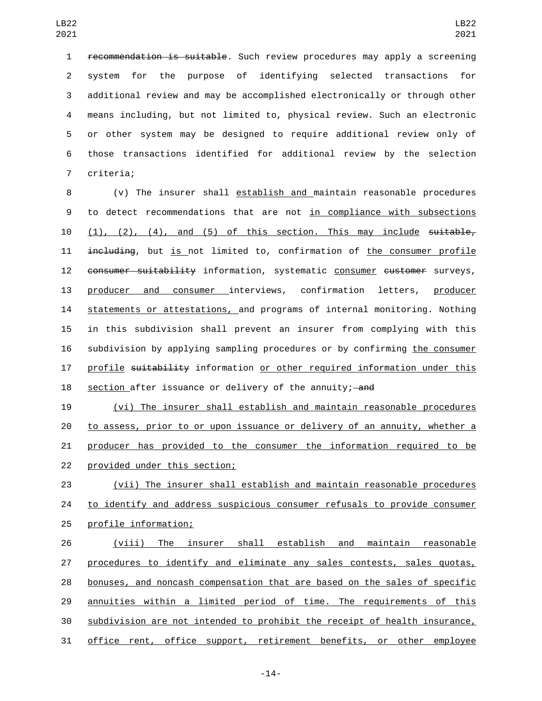recommendation is suitable. Such review procedures may apply a screening system for the purpose of identifying selected transactions for additional review and may be accomplished electronically or through other means including, but not limited to, physical review. Such an electronic or other system may be designed to require additional review only of those transactions identified for additional review by the selection 7 criteria;

 (v) The insurer shall establish and maintain reasonable procedures to detect recommendations that are not in compliance with subsections  $(1)$ ,  $(2)$ ,  $(4)$ , and  $(5)$  of this section. This may include suitable, including, but is not limited to, confirmation of the consumer profile 12 consumer suitability information, systematic consumer customer surveys, producer and consumer interviews, confirmation letters, producer 14 statements or attestations, and programs of internal monitoring. Nothing in this subdivision shall prevent an insurer from complying with this subdivision by applying sampling procedures or by confirming the consumer 17 profile suitability information or other required information under this 18 section after issuance or delivery of the annuity; and

 (vi) The insurer shall establish and maintain reasonable procedures to assess, prior to or upon issuance or delivery of an annuity, whether a producer has provided to the consumer the information required to be 22 provided under this section;

 (vii) The insurer shall establish and maintain reasonable procedures to identify and address suspicious consumer refusals to provide consumer 25 profile information;

 (viii) The insurer shall establish and maintain reasonable procedures to identify and eliminate any sales contests, sales quotas, bonuses, and noncash compensation that are based on the sales of specific annuities within a limited period of time. The requirements of this subdivision are not intended to prohibit the receipt of health insurance, office rent, office support, retirement benefits, or other employee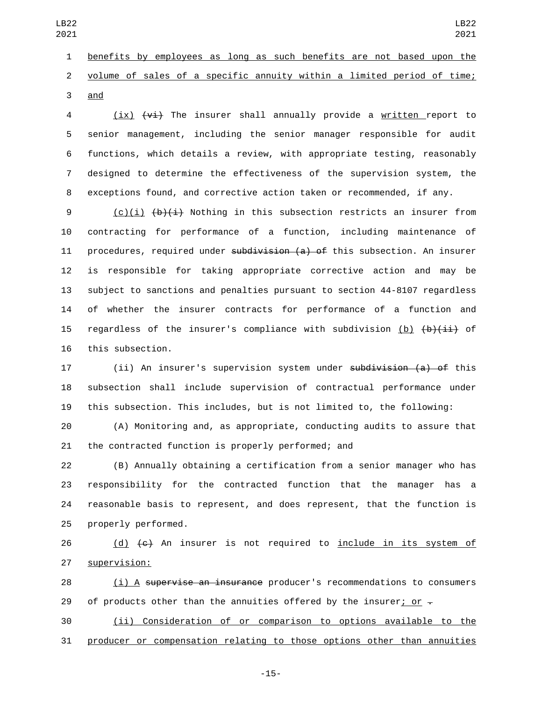benefits by employees as long as such benefits are not based upon the volume of sales of a specific annuity within a limited period of time; 3 and

 (ix)  $\overline{v_i}$  The insurer shall annually provide a written report to senior management, including the senior manager responsible for audit functions, which details a review, with appropriate testing, reasonably designed to determine the effectiveness of the supervision system, the exceptions found, and corrective action taken or recommended, if any.

9 (c)(i)  $\left(\frac{b}{i}\right)$  Nothing in this subsection restricts an insurer from contracting for performance of a function, including maintenance of 11 procedures, required under subdivision (a) of this subsection. An insurer is responsible for taking appropriate corrective action and may be subject to sanctions and penalties pursuant to section 44-8107 regardless of whether the insurer contracts for performance of a function and 15 regardless of the insurer's compliance with subdivision (b)  $\{b\}$   $\{i\}$  of 16 this subsection.

17 (ii) An insurer's supervision system under subdivision (a) of this subsection shall include supervision of contractual performance under this subsection. This includes, but is not limited to, the following:

 (A) Monitoring and, as appropriate, conducting audits to assure that the contracted function is properly performed; and

 (B) Annually obtaining a certification from a senior manager who has responsibility for the contracted function that the manager has a reasonable basis to represent, and does represent, that the function is 25 properly performed.

26 (d) (e) An insurer is not required to include in its system of 27 supervision:

 (i) A supervise an insurance producer's recommendations to consumers 29 of products other than the annuities offered by the insurer<u>; or</u>  $\pm$ 

 (ii) Consideration of or comparison to options available to the producer or compensation relating to those options other than annuities

-15-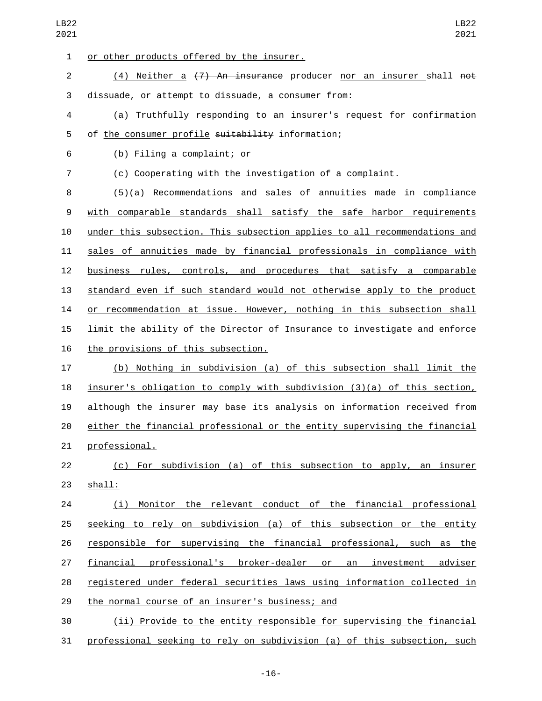| LB22<br>2021   | LB22<br>2021                                                              |
|----------------|---------------------------------------------------------------------------|
| $\mathbf{1}$   | or other products offered by the insurer.                                 |
| $\overline{c}$ | Neither a (7) An insurance producer nor an insurer shall not<br>(4)       |
| $\sqrt{3}$     | dissuade, or attempt to dissuade, a consumer from:                        |
| $\overline{4}$ | (a) Truthfully responding to an insurer's request for confirmation        |
| 5              | of the consumer profile suitability information;                          |
| 6              | (b) Filing a complaint; or                                                |
| $\overline{7}$ | (c) Cooperating with the investigation of a complaint.                    |
| 8              | $(5)(a)$ Recommendations and sales of annuities made in compliance        |
| 9              | with comparable standards shall satisfy the safe harbor requirements      |
| 10             | under this subsection. This subsection applies to all recommendations and |
| 11             | sales of annuities made by financial professionals in compliance with     |
| 12             | business rules, controls, and procedures that satisfy a comparable        |
| 13             | standard even if such standard would not otherwise apply to the product   |
| 14             | or recommendation at issue. However, nothing in this subsection shall     |
| 15             | limit the ability of the Director of Insurance to investigate and enforce |
| 16             | the provisions of this subsection.                                        |
| 17             | (b) Nothing in subdivision (a) of this subsection shall limit the         |
| 18             | insurer's obligation to comply with subdivision (3)(a) of this section,   |
| 19             | although the insurer may base its analysis on information received from   |
| 20             | either the financial professional or the entity supervising the financial |
| 21             | professional.                                                             |
| 22             | (c) For subdivision (a) of this subsection to apply, an insurer           |
| 23             | shall:                                                                    |
| 24             | (i) Monitor the relevant conduct of the financial professional            |
| 25             | seeking to rely on subdivision (a) of this subsection or the entity       |
| 26             | responsible for supervising the financial professional, such as the       |
| 27             | financial professional's broker-dealer or an investment adviser           |
| 28             | registered under federal securities laws using information collected in   |
| 29             | the normal course of an insurer's business; and                           |
| 30             | (ii) Provide to the entity responsible for supervising the financial      |
| 31             | professional seeking to rely on subdivision (a) of this subsection, such  |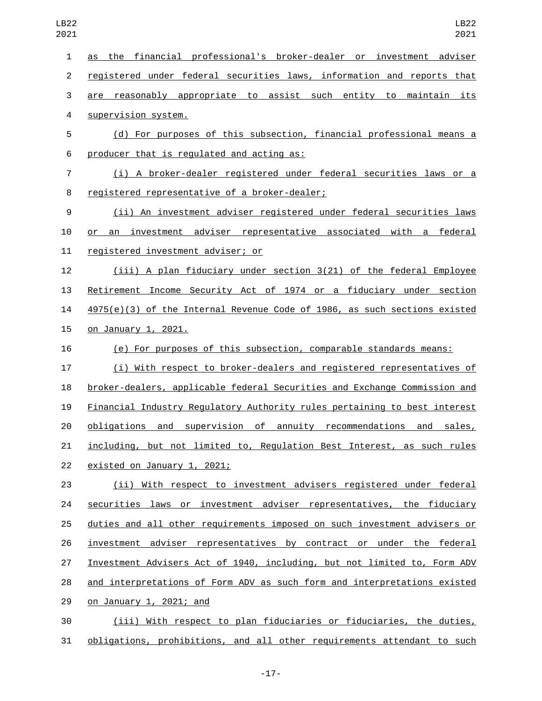| $\mathbf{1}$   | the financial professional's broker-dealer or investment adviser<br>as           |
|----------------|----------------------------------------------------------------------------------|
| $\overline{2}$ | registered under federal securities laws, information and reports that           |
| 3              | are reasonably appropriate to assist such entity to maintain its                 |
| 4              | supervision system.                                                              |
| 5              | (d) For purposes of this subsection, financial professional means a              |
| 6              | producer that is regulated and acting as:                                        |
| 7              | (i) A broker-dealer registered under federal securities laws or a                |
| 8              | registered representative of a broker-dealer;                                    |
| 9              | (ii) An investment adviser registered under federal securities laws              |
| 10             | or an investment adviser representative associated with a federal                |
| 11             | registered investment adviser; or                                                |
| 12             | (iii) A plan fiduciary under section 3(21) of the federal Employee               |
| 13             | Retirement Income Security Act of 1974 or a fiduciary under section              |
| 14             | 4975(e)(3) of the Internal Revenue Code of 1986, as such sections existed        |
| 15             | on January 1, 2021.                                                              |
| 16             | (e) For purposes of this subsection, comparable standards means:                 |
| 17             | (i) With respect to broker-dealers and registered representatives of             |
| 18             | broker-dealers, applicable federal Securities and Exchange Commission and        |
| 19             | <b>Financial Industry Regulatory Authority rules pertaining to best interest</b> |
| 20             | obligations and supervision of annuity recommendations and<br>sales,             |
| 21             | including, but not limited to, Regulation Best Interest, as such rules           |
| 22             | existed on January 1, 2021;                                                      |
| 23             | (ii) With respect to investment advisers registered under federal                |
| 24             | securities laws or investment adviser representatives, the fiduciary             |
| 25             | duties and all other requirements imposed on such investment advisers or         |
| 26             | investment adviser representatives by contract or under the federal              |
| 27             | Investment Advisers Act of 1940, including, but not limited to, Form ADV         |
| 28             | and interpretations of Form ADV as such form and interpretations existed         |
| 29             | on January 1, 2021; and                                                          |
| 30             | (iii) With respect to plan fiduciaries or fiduciaries, the duties,               |
|                |                                                                                  |

-17-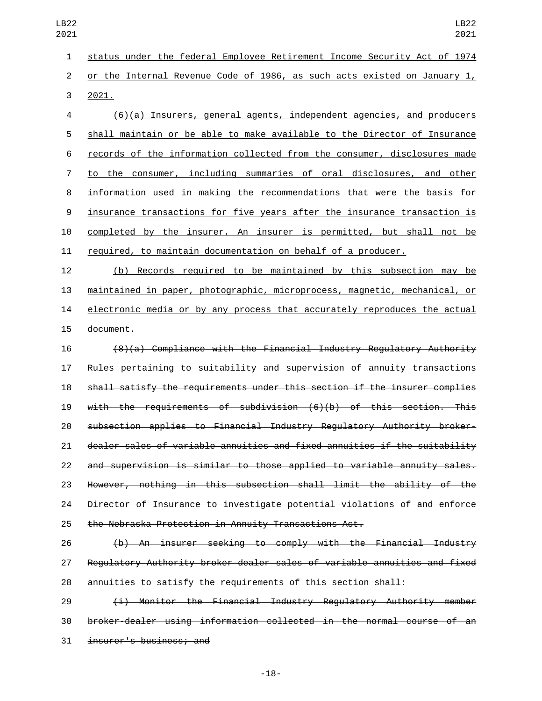status under the federal Employee Retirement Income Security Act of 1974 or the Internal Revenue Code of 1986, as such acts existed on January 1,

3 2021.

 (6)(a) Insurers, general agents, independent agencies, and producers shall maintain or be able to make available to the Director of Insurance records of the information collected from the consumer, disclosures made to the consumer, including summaries of oral disclosures, and other information used in making the recommendations that were the basis for insurance transactions for five years after the insurance transaction is completed by the insurer. An insurer is permitted, but shall not be required, to maintain documentation on behalf of a producer.

 (b) Records required to be maintained by this subsection may be maintained in paper, photographic, microprocess, magnetic, mechanical, or 14 electronic media or by any process that accurately reproduces the actual 15 document.

 (8)(a) Compliance with the Financial Industry Regulatory Authority Rules pertaining to suitability and supervision of annuity transactions shall satisfy the requirements under this section if the insurer complies with the requirements of subdivision (6)(b) of this section. This subsection applies to Financial Industry Regulatory Authority broker- dealer sales of variable annuities and fixed annuities if the suitability and supervision is similar to those applied to variable annuity sales. However, nothing in this subsection shall limit the ability of the Director of Insurance to investigate potential violations of and enforce the Nebraska Protection in Annuity Transactions Act.

 (b) An insurer seeking to comply with the Financial Industry Regulatory Authority broker-dealer sales of variable annuities and fixed annuities to satisfy the requirements of this section shall:

 (i) Monitor the Financial Industry Regulatory Authority member broker-dealer using information collected in the normal course of an 31 insurer's business; and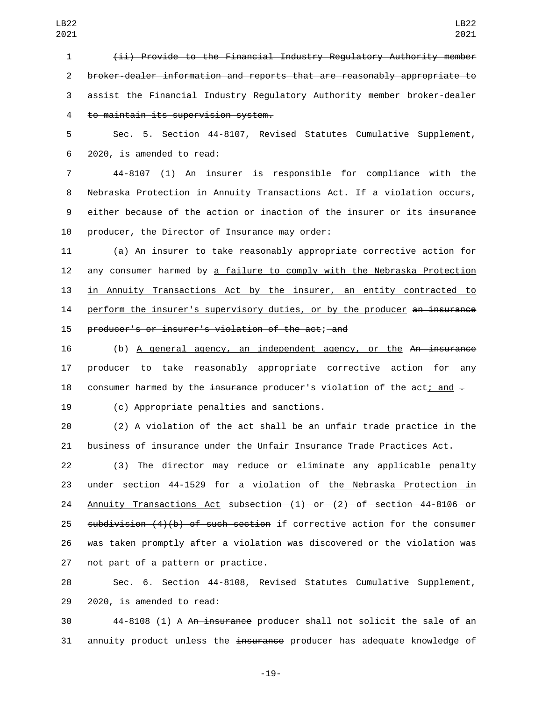(ii) Provide to the Financial Industry Regulatory Authority member broker-dealer information and reports that are reasonably appropriate to assist the Financial Industry Regulatory Authority member broker-dealer to maintain its supervision system.4

5 Sec. 5. Section 44-8107, Revised Statutes Cumulative Supplement, 6 2020, is amended to read:

7 44-8107 (1) An insurer is responsible for compliance with the 8 Nebraska Protection in Annuity Transactions Act. If a violation occurs, 9 either because of the action or inaction of the insurer or its insurance 10 producer, the Director of Insurance may order:

11 (a) An insurer to take reasonably appropriate corrective action for 12 any consumer harmed by a failure to comply with the Nebraska Protection 13 in Annuity Transactions Act by the insurer, an entity contracted to 14 perform the insurer's supervisory duties, or by the producer an insurance 15 producer's or insurer's violation of the act; and

16 (b) A general agency, an independent agency, or the An insurance 17 producer to take reasonably appropriate corrective action for any 18 consumer harmed by the insurance producer's violation of the act; and  $\pm$ 

## (c) Appropriate penalties and sanctions.19

20 (2) A violation of the act shall be an unfair trade practice in the 21 business of insurance under the Unfair Insurance Trade Practices Act.

 (3) The director may reduce or eliminate any applicable penalty under section 44-1529 for a violation of the Nebraska Protection in Annuity Transactions Act subsection (1) or (2) of section 44-8106 or 25 subdivision  $(4)(b)$  of such section if corrective action for the consumer was taken promptly after a violation was discovered or the violation was 27 not part of a pattern or practice.

28 Sec. 6. Section 44-8108, Revised Statutes Cumulative Supplement, 29 2020, is amended to read:

30 44-8108 (1) A An insurance producer shall not solicit the sale of an 31 annuity product unless the insurance producer has adequate knowledge of

-19-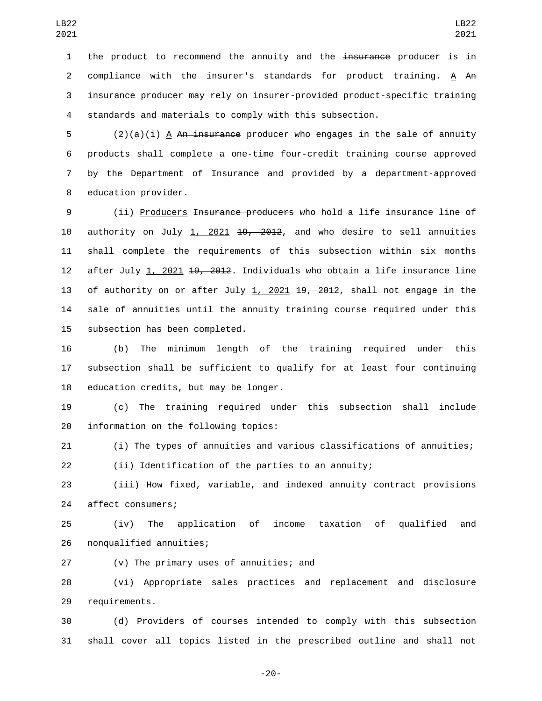1 the product to recommend the annuity and the insurance producer is in compliance with the insurer's standards for product training. A An insurance producer may rely on insurer-provided product-specific training standards and materials to comply with this subsection.

 (2)(a)(i) A An insurance producer who engages in the sale of annuity products shall complete a one-time four-credit training course approved by the Department of Insurance and provided by a department-approved 8 education provider.

 (ii) Producers Insurance producers who hold a life insurance line of authority on July 1, 2021 19, 2012, and who desire to sell annuities shall complete the requirements of this subsection within six months 12 after July 1, 2021 <del>19, 2012</del>. Individuals who obtain a life insurance line 13 of authority on or after July 1, 2021 <del>19, 2012</del>, shall not engage in the sale of annuities until the annuity training course required under this 15 subsection has been completed.

 (b) The minimum length of the training required under this subsection shall be sufficient to qualify for at least four continuing 18 education credits, but may be longer.

 (c) The training required under this subsection shall include 20 information on the following topics:

 (i) The types of annuities and various classifications of annuities; (ii) Identification of the parties to an annuity;

 (iii) How fixed, variable, and indexed annuity contract provisions 24 affect consumers;

 (iv) The application of income taxation of qualified and 26 nonqualified annuities;

27 (v) The primary uses of annuities; and

 (vi) Appropriate sales practices and replacement and disclosure 29 requirements.

 (d) Providers of courses intended to comply with this subsection shall cover all topics listed in the prescribed outline and shall not

-20-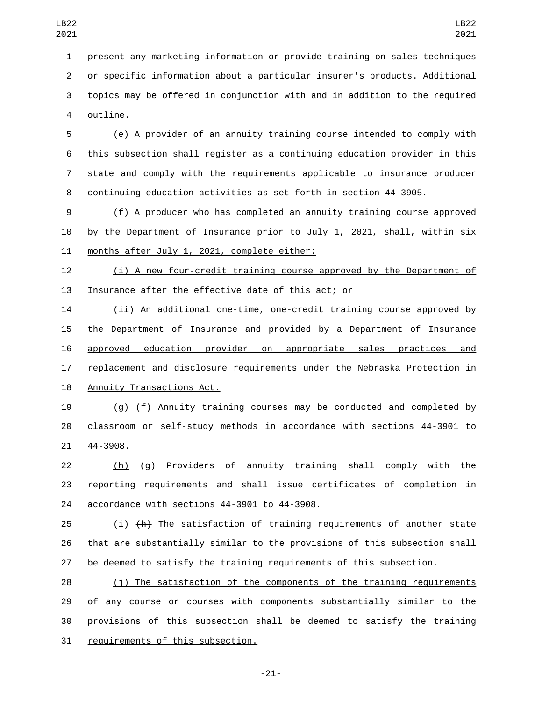present any marketing information or provide training on sales techniques or specific information about a particular insurer's products. Additional topics may be offered in conjunction with and in addition to the required 4 outline.

 (e) A provider of an annuity training course intended to comply with this subsection shall register as a continuing education provider in this state and comply with the requirements applicable to insurance producer continuing education activities as set forth in section 44-3905.

 (f) A producer who has completed an annuity training course approved by the Department of Insurance prior to July 1, 2021, shall, within six 11 months after July 1, 2021, complete either:

 (i) A new four-credit training course approved by the Department of Insurance after the effective date of this act; or

 (ii) An additional one-time, one-credit training course approved by the Department of Insurance and provided by a Department of Insurance approved education provider on appropriate sales practices and replacement and disclosure requirements under the Nebraska Protection in 18 Annuity Transactions Act.

19  $(q)$   $(f)$  Annuity training courses may be conducted and completed by classroom or self-study methods in accordance with sections 44-3901 to 21 44-3908.

22 (h) (g) Providers of annuity training shall comply with the reporting requirements and shall issue certificates of completion in 24 accordance with sections 44-3901 to 44-3908.

25  $(i)$   $(h)$  The satisfaction of training requirements of another state that are substantially similar to the provisions of this subsection shall be deemed to satisfy the training requirements of this subsection.

 (j) The satisfaction of the components of the training requirements 29 of any course or courses with components substantially similar to the provisions of this subsection shall be deemed to satisfy the training 31 requirements of this subsection.